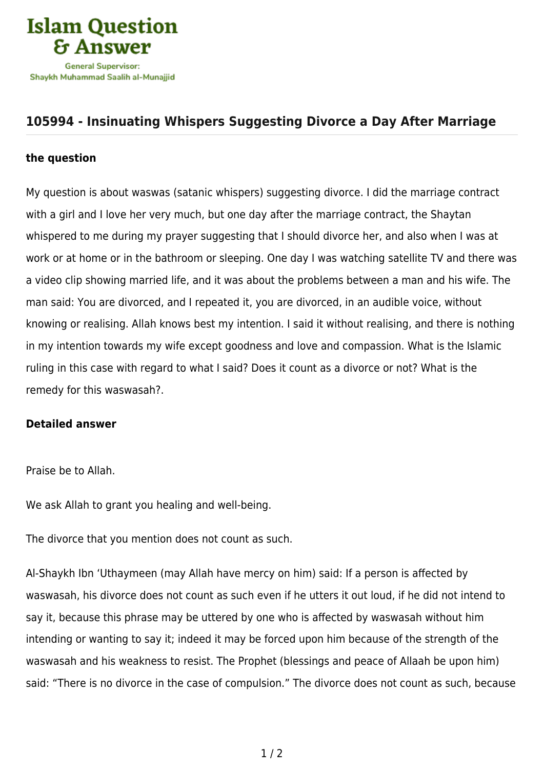

## **[105994 - Insinuating Whispers Suggesting Divorce a Day After Marriage](https://islamqa.info/en/answers/105994/insinuating-whispers-suggesting-divorce-a-day-after-marriage)**

## **the question**

My question is about waswas (satanic whispers) suggesting divorce. I did the marriage contract with a girl and I love her very much, but one day after the marriage contract, the Shaytan whispered to me during my prayer suggesting that I should divorce her, and also when I was at work or at home or in the bathroom or sleeping. One day I was watching satellite TV and there was a video clip showing married life, and it was about the problems between a man and his wife. The man said: You are divorced, and I repeated it, you are divorced, in an audible voice, without knowing or realising. Allah knows best my intention. I said it without realising, and there is nothing in my intention towards my wife except goodness and love and compassion. What is the Islamic ruling in this case with regard to what I said? Does it count as a divorce or not? What is the remedy for this waswasah?.

## **Detailed answer**

Praise be to Allah.

We ask Allah to grant you healing and well-being.

The divorce that you mention does not count as such.

Al-Shaykh Ibn 'Uthaymeen (may Allah have mercy on him) said: If a person is affected by waswasah, his divorce does not count as such even if he utters it out loud, if he did not intend to say it, because this phrase may be uttered by one who is affected by waswasah without him intending or wanting to say it; indeed it may be forced upon him because of the strength of the waswasah and his weakness to resist. The Prophet (blessings and peace of Allaah be upon him) said: "There is no divorce in the case of compulsion." The divorce does not count as such, because